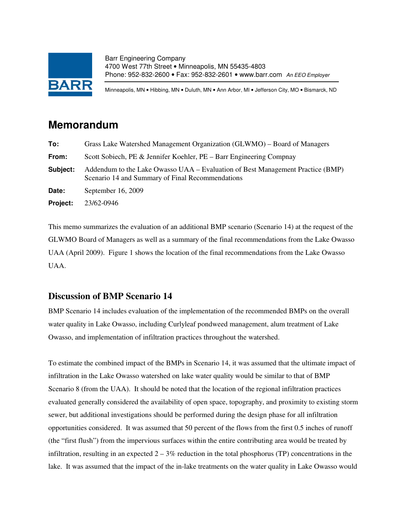

Barr Engineering Company 4700 West 77th Street • Minneapolis, MN 55435-4803 Phone: 952-832-2600 • Fax: 952-832-2601 • www.barr.com An EEO Employer

Minneapolis, MN • Hibbing, MN • Duluth, MN • Ann Arbor, MI • Jefferson City, MO • Bismarck, ND

# **Memorandum**

| To:      | Grass Lake Watershed Management Organization (GLWMO) – Board of Managers                                                           |  |  |  |  |
|----------|------------------------------------------------------------------------------------------------------------------------------------|--|--|--|--|
| From:    | Scott Sobiech, PE & Jennifer Koehler, PE – Barr Engineering Compnay                                                                |  |  |  |  |
| Subject: | Addendum to the Lake Owasso UAA – Evaluation of Best Management Practice (BMP)<br>Scenario 14 and Summary of Final Recommendations |  |  |  |  |
| Date:    | September 16, 2009                                                                                                                 |  |  |  |  |
| Project: | 23/62-0946                                                                                                                         |  |  |  |  |

This memo summarizes the evaluation of an additional BMP scenario (Scenario 14) at the request of the GLWMO Board of Managers as well as a summary of the final recommendations from the Lake Owasso UAA (April 2009). Figure 1 shows the location of the final recommendations from the Lake Owasso UAA.

### **Discussion of BMP Scenario 14**

BMP Scenario 14 includes evaluation of the implementation of the recommended BMPs on the overall water quality in Lake Owasso, including Curlyleaf pondweed management, alum treatment of Lake Owasso, and implementation of infiltration practices throughout the watershed.

To estimate the combined impact of the BMPs in Scenario 14, it was assumed that the ultimate impact of infiltration in the Lake Owasso watershed on lake water quality would be similar to that of BMP Scenario 8 (from the UAA). It should be noted that the location of the regional infiltration practices evaluated generally considered the availability of open space, topography, and proximity to existing storm sewer, but additional investigations should be performed during the design phase for all infiltration opportunities considered. It was assumed that 50 percent of the flows from the first 0.5 inches of runoff (the "first flush") from the impervious surfaces within the entire contributing area would be treated by infiltration, resulting in an expected  $2 - 3\%$  reduction in the total phosphorus (TP) concentrations in the lake. It was assumed that the impact of the in-lake treatments on the water quality in Lake Owasso would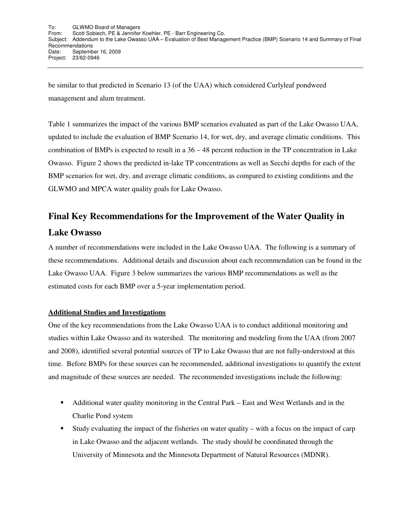be similar to that predicted in Scenario 13 (of the UAA) which considered Curlyleaf pondweed management and alum treatment.

Table 1 summarizes the impact of the various BMP scenarios evaluated as part of the Lake Owasso UAA, updated to include the evaluation of BMP Scenario 14, for wet, dry, and average climatic conditions. This combination of BMPs is expected to result in a  $36 - 48$  percent reduction in the TP concentration in Lake Owasso. Figure 2 shows the predicted in-lake TP concentrations as well as Secchi depths for each of the BMP scenarios for wet, dry, and average climatic conditions, as compared to existing conditions and the GLWMO and MPCA water quality goals for Lake Owasso.

# **Final Key Recommendations for the Improvement of the Water Quality in**

### **Lake Owasso**

A number of recommendations were included in the Lake Owasso UAA. The following is a summary of these recommendations. Additional details and discussion about each recommendation can be found in the Lake Owasso UAA. Figure 3 below summarizes the various BMP recommendations as well as the estimated costs for each BMP over a 5-year implementation period.

#### **Additional Studies and Investigations**

One of the key recommendations from the Lake Owasso UAA is to conduct additional monitoring and studies within Lake Owasso and its watershed. The monitoring and modeling from the UAA (from 2007 and 2008), identified several potential sources of TP to Lake Owasso that are not fully-understood at this time. Before BMPs for these sources can be recommended, additional investigations to quantify the extent and magnitude of these sources are needed. The recommended investigations include the following:

- Additional water quality monitoring in the Central Park East and West Wetlands and in the Charlie Pond system
- Study evaluating the impact of the fisheries on water quality with a focus on the impact of carp in Lake Owasso and the adjacent wetlands. The study should be coordinated through the University of Minnesota and the Minnesota Department of Natural Resources (MDNR).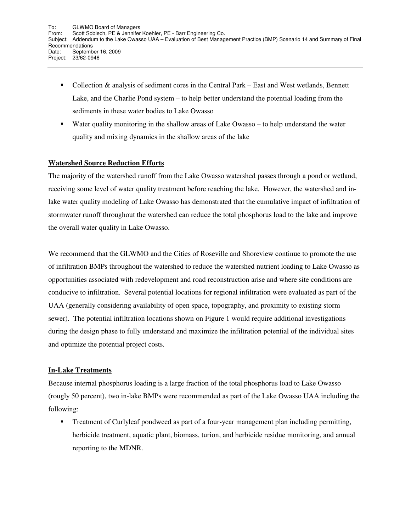- Collection & analysis of sediment cores in the Central Park East and West wetlands, Bennett Lake, and the Charlie Pond system – to help better understand the potential loading from the sediments in these water bodies to Lake Owasso
- Water quality monitoring in the shallow areas of Lake Owasso to help understand the water quality and mixing dynamics in the shallow areas of the lake

#### **Watershed Source Reduction Efforts**

The majority of the watershed runoff from the Lake Owasso watershed passes through a pond or wetland, receiving some level of water quality treatment before reaching the lake. However, the watershed and inlake water quality modeling of Lake Owasso has demonstrated that the cumulative impact of infiltration of stormwater runoff throughout the watershed can reduce the total phosphorus load to the lake and improve the overall water quality in Lake Owasso.

We recommend that the GLWMO and the Cities of Roseville and Shoreview continue to promote the use of infiltration BMPs throughout the watershed to reduce the watershed nutrient loading to Lake Owasso as opportunities associated with redevelopment and road reconstruction arise and where site conditions are conducive to infiltration. Several potential locations for regional infiltration were evaluated as part of the UAA (generally considering availability of open space, topography, and proximity to existing storm sewer). The potential infiltration locations shown on Figure 1 would require additional investigations during the design phase to fully understand and maximize the infiltration potential of the individual sites and optimize the potential project costs.

#### **In-Lake Treatments**

Because internal phosphorus loading is a large fraction of the total phosphorus load to Lake Owasso (rougly 50 percent), two in-lake BMPs were recommended as part of the Lake Owasso UAA including the following:

- Treatment of Curlyleaf pondweed as part of a four-year management plan including permitting, herbicide treatment, aquatic plant, biomass, turion, and herbicide residue monitoring, and annual reporting to the MDNR.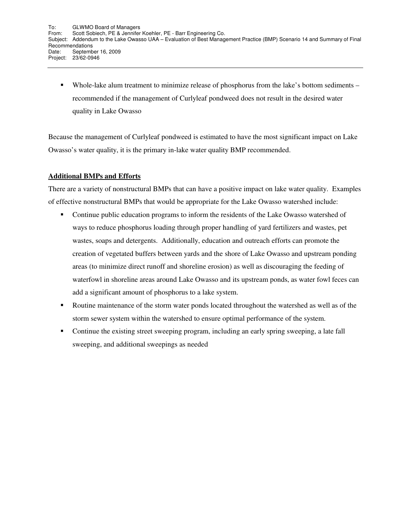• Whole-lake alum treatment to minimize release of phosphorus from the lake's bottom sediments – recommended if the management of Curlyleaf pondweed does not result in the desired water quality in Lake Owasso

Because the management of Curlyleaf pondweed is estimated to have the most significant impact on Lake Owasso's water quality, it is the primary in-lake water quality BMP recommended.

#### **Additional BMPs and Efforts**

There are a variety of nonstructural BMPs that can have a positive impact on lake water quality. Examples of effective nonstructural BMPs that would be appropriate for the Lake Owasso watershed include:

- - Continue public education programs to inform the residents of the Lake Owasso watershed of ways to reduce phosphorus loading through proper handling of yard fertilizers and wastes, pet wastes, soaps and detergents. Additionally, education and outreach efforts can promote the creation of vegetated buffers between yards and the shore of Lake Owasso and upstream ponding areas (to minimize direct runoff and shoreline erosion) as well as discouraging the feeding of waterfowl in shoreline areas around Lake Owasso and its upstream ponds, as water fowl feces can add a significant amount of phosphorus to a lake system.
- - Routine maintenance of the storm water ponds located throughout the watershed as well as of the storm sewer system within the watershed to ensure optimal performance of the system.
- - Continue the existing street sweeping program, including an early spring sweeping, a late fall sweeping, and additional sweepings as needed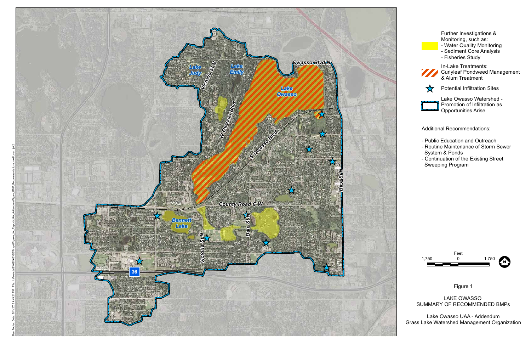

Further Investigations & Monitoring, such as:



- Water Quality Monitoring
- Sediment Core Analysis
- Fisheries Study



In-Lake Treatments: Curlyleaf Pondweed Management & Alum Treatment



Potential Infiltration Sites



Lake Owasso Watershed - Promotion of Infiltration as Opportunities Arise

Additional Recommendations:

- Public Education and Outreach
- Routine Maintenance of Storm Sewer System & Ponds
- Continuation of the Existing Street Sweeping Program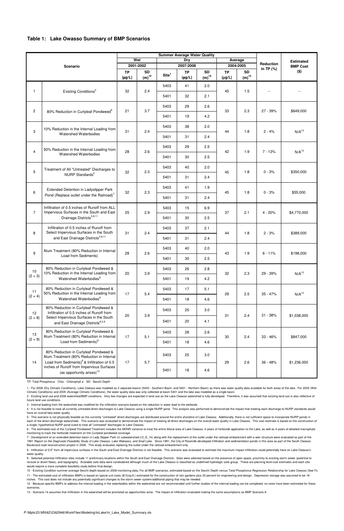### **Table 1: Lake Owasso Summary of BMP Scenarios**

13 - Scenario 14 assumes that infiltration in the watershed will be promoted as opportunities arise. The impact of infiltration evaluated making the same assumptions as BMP Scenario 8.

12 - Because specific BMPs to address the internal loading in the waterbodies within the watershed are not recommended until further studies of the internal loading can be completed, no costs have been estimated for these scenarios.

7 - Development of an extended detention basin in Lady Slipper Park (in subwatershed LO\_E\_1k) along with the replacement of the outlet under the railroad embankment with a weir structure were evaluated as part of the 1991 Report on the Diagnostic-Feasibility Study of Lake Owasso, Lake Wabasso, and Snail Lake. Since 1991, the City of Roseville developed infiltration and sedimentation ponds in this area as part of the South Owasso Boulevard road reconstruction project in 2006. This study evaluates replacing the outlet under the railroad embankment only.

5 - This scenario is not physically feasible as the currently "untreated" direct discharges are distributed around the entire shoreline of Lake Owasso. Additionally, there is not sufficient space to incorporate NURP ponds in each of the direct discharge watersheds. This scenario was evaluated to demonstrate the impact of treating all direct discharges on the overall water quality in Lake Owasso. This cost estimate is based on the construction a single, hypothetical NURP pond sized to treat all "untreated" discharges to Lake Owasso.

6 - The estimated cost of the Curlyleaf Pondweed Treatment includes the MDNR variance to treat the entire littoral area of Lake Owasso, 4-years of herbicide application to the Lake, as well as 4-years of detailed macrophyte monitoring to track the herbicide treatment on the Curlyleaf pondweed coverage

9 - Selected potential infiltration sites include 11 preliminary locations within the South and East Drainage Districts. Sites were selected based on the presence of open space, proximity to existing storm sewer (potential reroute or divert flows), and topography. Available soils data were condsidered although much of the Lake Owasso is classified as undefined hydrologic soils group. These are planning level cost estimates and each site would require a more complete feasibility study before final design.

10 - Existing Condition summer average Secchi depth based on 2008 monitoring data; For all BMP scenarios, estimated based on the Secchi Depth versus Total Phosphorus Regression Relationship for Lake Owasso (See Fig.

|                         |                                                                                                                                                                                                                                     | <b>Summer Average Water Quality</b> |                         |                   |                          |                         |                          |                         |                                 |                                     |
|-------------------------|-------------------------------------------------------------------------------------------------------------------------------------------------------------------------------------------------------------------------------------|-------------------------------------|-------------------------|-------------------|--------------------------|-------------------------|--------------------------|-------------------------|---------------------------------|-------------------------------------|
| <b>Scenario</b>         |                                                                                                                                                                                                                                     | Wet                                 |                         | <b>Dry</b>        |                          |                         | Average                  |                         | <b>Reduction</b><br>in TP $(%)$ | <b>Estimated</b><br><b>BMP Cost</b> |
|                         |                                                                                                                                                                                                                                     | 2001-2002                           |                         | 2007-2008         |                          | 2004-2005               |                          |                         |                                 |                                     |
|                         |                                                                                                                                                                                                                                     | <b>TP</b><br>$(\mu g/L)$            | <b>SD</b><br>$(m)^{10}$ | Site <sup>1</sup> | <b>TP</b><br>$(\mu g/L)$ | <b>SD</b><br>$(m)^{10}$ | <b>TP</b><br>$(\mu g/L)$ | <b>SD</b><br>$(m)^{10}$ |                                 | $($ \$)                             |
| $\mathbf{1}$            | Existing Conditions <sup>2</sup>                                                                                                                                                                                                    | 32                                  | 2.4                     | 5403              | 41                       | 2.0                     | 45                       | 1.5                     | $\overline{\phantom{a}}$        |                                     |
|                         |                                                                                                                                                                                                                                     |                                     |                         | 5401              | 32                       | 2.1                     |                          |                         |                                 |                                     |
| $\mathbf{2}$            | 80% Reduction in Curlyleaf Pondweed <sup>6</sup>                                                                                                                                                                                    | 21                                  | 3.7                     | 5403              | 29                       | 2.6                     | 33                       | 2.3                     | $27 - 39%$                      | \$649,000                           |
|                         |                                                                                                                                                                                                                                     |                                     |                         | 5401              | 19                       | 4.2                     |                          |                         |                                 |                                     |
| 3                       | 10% Reduction in the Internal Loading from<br>Watershed Waterbodies                                                                                                                                                                 | 31                                  | 2.4                     | 5403              | 38                       | 2.0                     | 44                       | 1.8                     | $2 - 4%$                        | N/A <sup>12</sup>                   |
|                         |                                                                                                                                                                                                                                     |                                     |                         | 5401              | 31                       | 2.4                     |                          |                         |                                 |                                     |
| $\overline{\mathbf{4}}$ | 50% Reduction in the Internal Loading from<br>Watershed Waterbodies                                                                                                                                                                 | 28                                  | 2.6                     | 5403              | 29                       | 2.5                     | 42                       | 1.9                     | $7 - 13%$                       | $N/A^{12}$                          |
|                         |                                                                                                                                                                                                                                     |                                     |                         | 5401              | 30                       | 2.5                     |                          |                         |                                 |                                     |
| 5                       | Treatment of All "Untreated" Discharges to                                                                                                                                                                                          | 32                                  | 2.3                     | 5403              | 40                       | 2.0                     | 45                       | 1.8                     | $0 - 3%$                        | \$350,000                           |
|                         | NURP Standards <sup>5</sup>                                                                                                                                                                                                         |                                     |                         | 5401              | 31                       | 2.4                     |                          |                         |                                 |                                     |
| 6                       | Extended Detention in Ladyslipper Park<br>Pond (Replace outlet under the Railroad) <sup>7</sup>                                                                                                                                     | 32                                  | 2.3                     | 5403              | 41                       | 1.9                     | 45                       | 1.8                     | $0 - 3%$                        | \$55,000                            |
|                         |                                                                                                                                                                                                                                     |                                     |                         | 5401              | 31                       | 2.4                     |                          |                         |                                 |                                     |
| $\overline{7}$          | Infiltration of 0.5 inches of Runoff from ALL<br>Impervious Surfaces in the South and East<br>Drainage Districts <sup>3,8,11</sup>                                                                                                  | 25                                  | 2.9                     | 5403              | 15                       | 6.9                     | 37                       | 2.1                     | $4 - 20%$                       | \$4,770,000                         |
|                         |                                                                                                                                                                                                                                     |                                     |                         | 5401              | 30                       | 2.5                     |                          |                         |                                 |                                     |
| 8                       | Infiltration of 0.5 inches of Runoff from<br>Select Impervious Surfaces in the South<br>and East Drainage Districts <sup>3,9,11</sup>                                                                                               | 31                                  | 2.4                     | 5403              | 37                       | 2.1                     | 44                       | 1.8                     | $2 - 3%$                        | \$389,000                           |
|                         |                                                                                                                                                                                                                                     |                                     |                         | 5401              | 31                       | 2.4                     |                          |                         |                                 |                                     |
| 9                       | Alum Treatment (80% Reduction in Internal<br>Load from Sediments)                                                                                                                                                                   | 28                                  | 2.6                     | 5403              | 40                       | 2.0                     | 43                       | 1.9                     | $6 - 11%$                       | \$198,000                           |
|                         |                                                                                                                                                                                                                                     |                                     |                         | 5401              | 30                       | 2.5                     |                          |                         |                                 |                                     |
| 10<br>$(2 + 3)$         | 80% Reduction in Curlyleaf Pondweed &<br>10% Reduction in the Internal Loading from<br>Watershed Waterbodies <sup>6</sup>                                                                                                           | 20                                  | 3.9                     | 5403              | 26                       | 2.8                     | 32                       | 2.3                     | 29 - 39%                        | $N/A^{12}$                          |
|                         |                                                                                                                                                                                                                                     |                                     |                         | 5401              | 19                       | 4.2                     |                          |                         |                                 |                                     |
| 11<br>$(2 + 4)$         | 80% Reduction in Curlyleaf Pondweed &<br>50% Reduction in the Internal Loading from<br>Watershed Waterbodies <sup>6</sup>                                                                                                           | 17                                  | 5.4                     | 5403              | 17                       | 5.1                     | 29                       | 2.5                     | $35 - 47%$                      | $N/A^{12}$                          |
|                         |                                                                                                                                                                                                                                     |                                     |                         | 5401              | 18                       | 4.6                     |                          |                         |                                 |                                     |
| 12<br>$(2 + 8)$         | 80% Reduction in Curlyleaf Pondweed &<br>Infiltration of 0.5 inches of Runoff from<br>Select Impervious Surfaces in the South<br>and East Drainage Districts <sup>6,3,9</sup>                                                       | 20                                  | 3.9                     | 5403              | 25                       | 3.0                     | 31                       | 2.4                     | $31 - 38%$                      | \$1,038,000                         |
|                         |                                                                                                                                                                                                                                     |                                     |                         | 5401              | 20                       | 4.1                     |                          |                         |                                 |                                     |
| 13<br>$(2 + 9)$         | 80% Reduction in Curlyleaf Pondweed &<br>Alum Treatment (80% Reduction in Internal<br>Load from Sediments) <sup>6</sup>                                                                                                             | 17                                  | 5.1                     | 5403              | 28                       | 2.6                     | 30                       | 2.4                     | $33 - 46%$                      | \$847,000                           |
|                         |                                                                                                                                                                                                                                     |                                     |                         | 5401              | 18                       | 4.6                     |                          |                         |                                 |                                     |
| 14                      | 80% Reduction in Curlyleaf Pondweed &<br>Alum Treatment (80% Reduction in Internal<br>Load from Sediments) <sup>6</sup> & Infiltration of 0.5<br>inches of Runoff from Impervious Surfaces<br>(as opportunity arises) <sup>13</sup> | 17                                  | 5.7                     | 5403              | 25                       | 3.0                     | 29                       | 2.6                     | 36 - 48%                        | \$1,236,000                         |
|                         |                                                                                                                                                                                                                                     |                                     |                         | 5401              | 18                       | 4.6                     |                          |                         |                                 |                                     |

TP: Total Phosphorus Chla: Chlorophyll a SD: Secchi Depth

4 - It is not feasible to treat all currently untreated direct discharges to Lake Owasso using a single NURP pond. This analysis was performed to demonstrate the impact that treating each discharge to NURP standards would have on overall lake water quality

2 - Existing land use and 2008 watershed/BMP conditions. Very few changes are expected in land use as the Lake Owasso watershed is fully-developed. Therefore, it was assumed that existing land use is also reflective of future land use conditions.

1 - For 2008 (Dry Climatic Conditions), Lake Owasso was modeled as 2 separate basins (5403 - Southern Basin, and 5401 - Northern Basin) as there was water quality data available for both areas of the lake. For 2002 (Wet

Climatic Conditions) and 2005 (Average Climatic Conditions), the water quality data was only collected at basin 5401 and the lake was modeled as a single basin.

3 - Internal loading from the watershed was modified for the infiltration scenario based on the reduction in water load to the wetlands.

8 - Infiltration of 0.5" from all impervious surfaces in the South and East Drainage Districts is not feasible. This scenario was evaluated to estimate the maximum impact infiltration could potentially have on Lake Owasso's water quality.

11 - The estimated cost of infiltration BMPs is based on typical unit costs (\$13/sq.ft.) estimated for the construction of rain gardens plus 30 percent for engineering and design. Depression storage was assumed to be 18 inches. This cost does not include any potentially significant changes to the storm sewer system/additional piping that may be needed.

P:\Mpls\23 MN\62\2362946\WorkFiles\Modeling\InLake\In\_Lake\_Model\_Summary.xls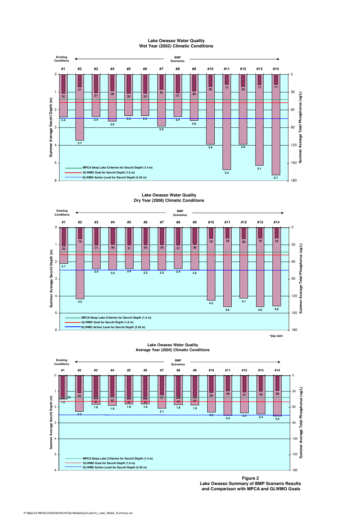

#### **Lake Owasso Water Quality Wet Year (2002) Climatic Conditions**

#### **Lake Owasso Water Quality Dry Year (2008) Climatic Conditions**



#### 0 #1 #2 #3 #4 #5 #6 #7 #8 #9 #10 #11 #12 #13 #14 0**Existing Conditions BMP Scenarios**



**Average Year (2005) Climatic Conditions**

**Figure 2 Lake Owasso Summary of BMP Scenario Results and Comparison with MPCA and GLWMO Goals**